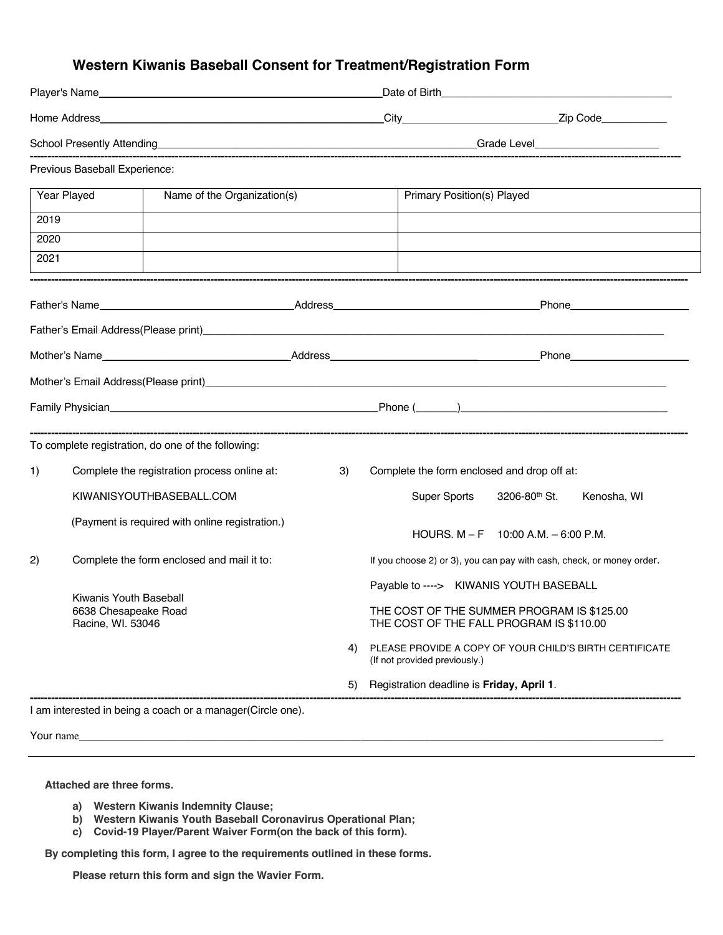# **Western Kiwanis Baseball Consent for Treatment/Registration Form**

|      | Previous Baseball Experience:                                                                                                                                                                                                   |    |                                             |                                                                       |  |
|------|---------------------------------------------------------------------------------------------------------------------------------------------------------------------------------------------------------------------------------|----|---------------------------------------------|-----------------------------------------------------------------------|--|
|      | Year Played<br>Name of the Organization(s)                                                                                                                                                                                      |    | <b>Primary Position(s) Played</b>           |                                                                       |  |
| 2019 |                                                                                                                                                                                                                                 |    |                                             |                                                                       |  |
| 2020 |                                                                                                                                                                                                                                 |    |                                             |                                                                       |  |
| 2021 |                                                                                                                                                                                                                                 |    |                                             |                                                                       |  |
|      |                                                                                                                                                                                                                                 |    |                                             |                                                                       |  |
|      | Father's Email Address(Please print)<br>Express the contract of the contract of the contract of the contract of the contract of the contract of the contract of the contract of the contract of the contract of the contract of |    |                                             |                                                                       |  |
|      |                                                                                                                                                                                                                                 |    |                                             |                                                                       |  |
|      | Mother's Email Address(Please print) Mother and Contract and Contract and Contract and Contract and Contract and Contract and Contract and Contract and Contract and Contract and Contract and Contract and Contract and Contr  |    |                                             |                                                                       |  |
|      |                                                                                                                                                                                                                                 |    |                                             |                                                                       |  |
|      | To complete registration, do one of the following:                                                                                                                                                                              |    |                                             |                                                                       |  |
| 1)   | Complete the registration process online at:                                                                                                                                                                                    | 3) | Complete the form enclosed and drop off at: |                                                                       |  |
|      | KIWANISYOUTHBASEBALL.COM                                                                                                                                                                                                        |    | Super Sports                                | 3206-80 <sup>th</sup> St.<br>Kenosha, WI                              |  |
|      | (Payment is required with online registration.)                                                                                                                                                                                 |    |                                             | HOURS, $M - F = 10:00$ A.M. $- 6:00$ P.M.                             |  |
| 2)   | Complete the form enclosed and mail it to:                                                                                                                                                                                      |    |                                             | If you choose 2) or 3), you can pay with cash, check, or money order. |  |
|      |                                                                                                                                                                                                                                 |    | Payable to ----> KIWANIS YOUTH BASEBALL     |                                                                       |  |
|      | Kiwanis Youth Baseball<br>6638 Chesapeake Road<br>Racine, WI. 53046                                                                                                                                                             |    | THE COST OF THE FALL PROGRAM IS \$110.00    | THE COST OF THE SUMMER PROGRAM IS \$125.00                            |  |
|      |                                                                                                                                                                                                                                 | 4) | (If not provided previously.)               | PLEASE PROVIDE A COPY OF YOUR CHILD'S BIRTH CERTIFICATE               |  |
|      |                                                                                                                                                                                                                                 | 5) | Registration deadline is Friday, April 1.   |                                                                       |  |

I am interested in being a coach or a manager(Circle one).

 ${\tt Your \ name} \_{}$ 

 **Attached are three forms.**

- **a) Western Kiwanis Indemnity Clause;**
- **b) Western Kiwanis Youth Baseball Coronavirus Operational Plan;**
- **c) Covid-19 Player/Parent Waiver Form(on the back of this form).**

 **By completing this form, I agree to the requirements outlined in these forms.**

**Please return this form and sign the Wavier Form.**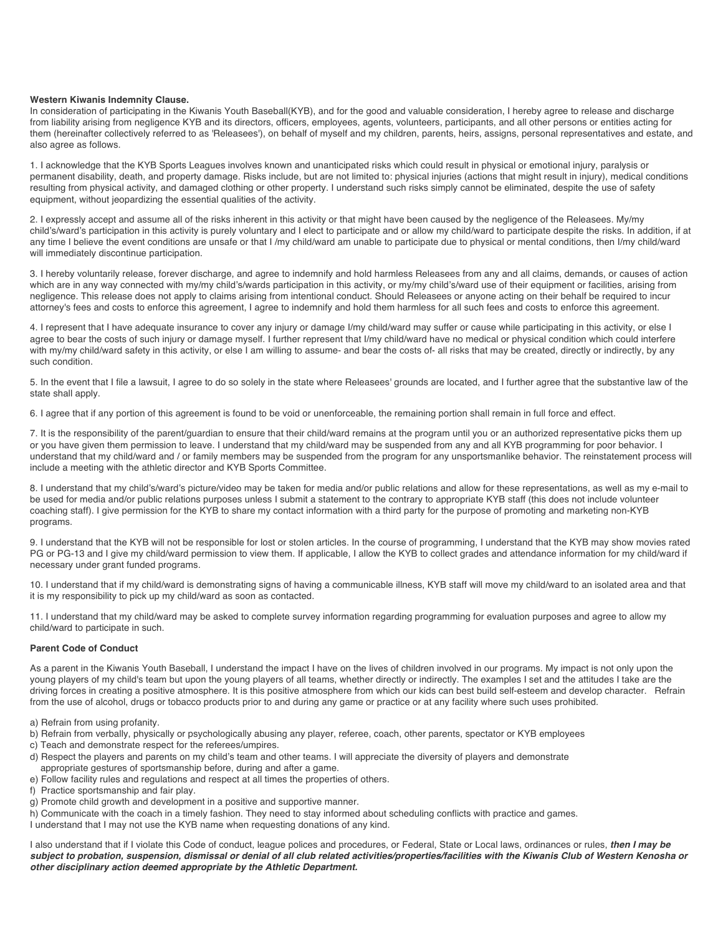#### **Western Kiwanis Indemnity Clause.**

In consideration of participating in the Kiwanis Youth Baseball(KYB), and for the good and valuable consideration, I hereby agree to release and discharge from liability arising from negligence KYB and its directors, officers, employees, agents, volunteers, participants, and all other persons or entities acting for them (hereinafter collectively referred to as 'Releasees'), on behalf of myself and my children, parents, heirs, assigns, personal representatives and estate, and also agree as follows.

1. I acknowledge that the KYB Sports Leagues involves known and unanticipated risks which could result in physical or emotional injury, paralysis or permanent disability, death, and property damage. Risks include, but are not limited to: physical injuries (actions that might result in injury), medical conditions resulting from physical activity, and damaged clothing or other property. I understand such risks simply cannot be eliminated, despite the use of safety equipment, without jeopardizing the essential qualities of the activity.

2. I expressly accept and assume all of the risks inherent in this activity or that might have been caused by the negligence of the Releasees. My/my child's/ward's participation in this activity is purely voluntary and I elect to participate and or allow my child/ward to participate despite the risks. In addition, if at any time I believe the event conditions are unsafe or that I /my child/ward am unable to participate due to physical or mental conditions, then I/my child/ward will immediately discontinue participation.

3. I hereby voluntarily release, forever discharge, and agree to indemnify and hold harmless Releasees from any and all claims, demands, or causes of action which are in any way connected with my/my child's/wards participation in this activity, or my/my child's/ward use of their equipment or facilities, arising from negligence. This release does not apply to claims arising from intentional conduct. Should Releasees or anyone acting on their behalf be required to incur attorney's fees and costs to enforce this agreement, I agree to indemnify and hold them harmless for all such fees and costs to enforce this agreement.

4. I represent that I have adequate insurance to cover any injury or damage I/my child/ward may suffer or cause while participating in this activity, or else I agree to bear the costs of such injury or damage myself. I further represent that I/my child/ward have no medical or physical condition which could interfere with my/my child/ward safety in this activity, or else I am willing to assume- and bear the costs of- all risks that may be created, directly or indirectly, by any such condition.

5. In the event that I file a lawsuit, I agree to do so solely in the state where Releasees' grounds are located, and I further agree that the substantive law of the state shall apply.

6. I agree that if any portion of this agreement is found to be void or unenforceable, the remaining portion shall remain in full force and effect.

7. It is the responsibility of the parent/guardian to ensure that their child/ward remains at the program until you or an authorized representative picks them up or you have given them permission to leave. I understand that my child/ward may be suspended from any and all KYB programming for poor behavior. I understand that my child/ward and / or family members may be suspended from the program for any unsportsmanlike behavior. The reinstatement process will include a meeting with the athletic director and KYB Sports Committee.

8. I understand that my child's/ward's picture/video may be taken for media and/or public relations and allow for these representations, as well as my e-mail to be used for media and/or public relations purposes unless I submit a statement to the contrary to appropriate KYB staff (this does not include volunteer coaching staff). I give permission for the KYB to share my contact information with a third party for the purpose of promoting and marketing non-KYB programs.

9. I understand that the KYB will not be responsible for lost or stolen articles. In the course of programming, I understand that the KYB may show movies rated PG or PG-13 and I give my child/ward permission to view them. If applicable, I allow the KYB to collect grades and attendance information for my child/ward if necessary under grant funded programs.

10. I understand that if my child/ward is demonstrating signs of having a communicable illness, KYB staff will move my child/ward to an isolated area and that it is my responsibility to pick up my child/ward as soon as contacted.

11. I understand that my child/ward may be asked to complete survey information regarding programming for evaluation purposes and agree to allow my child/ward to participate in such.

# **Parent Code of Conduct**

As a parent in the Kiwanis Youth Baseball, I understand the impact I have on the lives of children involved in our programs. My impact is not only upon the young players of my child's team but upon the young players of all teams, whether directly or indirectly. The examples I set and the attitudes I take are the driving forces in creating a positive atmosphere. It is this positive atmosphere from which our kids can best build self-esteem and develop character. Refrain from the use of alcohol, drugs or tobacco products prior to and during any game or practice or at any facility where such uses prohibited.

- a) Refrain from using profanity.
- b) Refrain from verbally, physically or psychologically abusing any player, referee, coach, other parents, spectator or KYB employees
- c) Teach and demonstrate respect for the referees/umpires.
- d) Respect the players and parents on my child's team and other teams. I will appreciate the diversity of players and demonstrate appropriate gestures of sportsmanship before, during and after a game.
- e) Follow facility rules and regulations and respect at all times the properties of others.
- f) Practice sportsmanship and fair play.
- g) Promote child growth and development in a positive and supportive manner.
- h) Communicate with the coach in a timely fashion. They need to stay informed about scheduling conflicts with practice and games.
- I understand that I may not use the KYB name when requesting donations of any kind.

I also understand that if I violate this Code of conduct, league polices and procedures, or Federal, State or Local laws, ordinances or rules, *then I may be subject to probation, suspension, dismissal or denial of all club related activities/properties/facilities with the Kiwanis Club of Western Kenosha or other disciplinary action deemed appropriate by the Athletic Department.*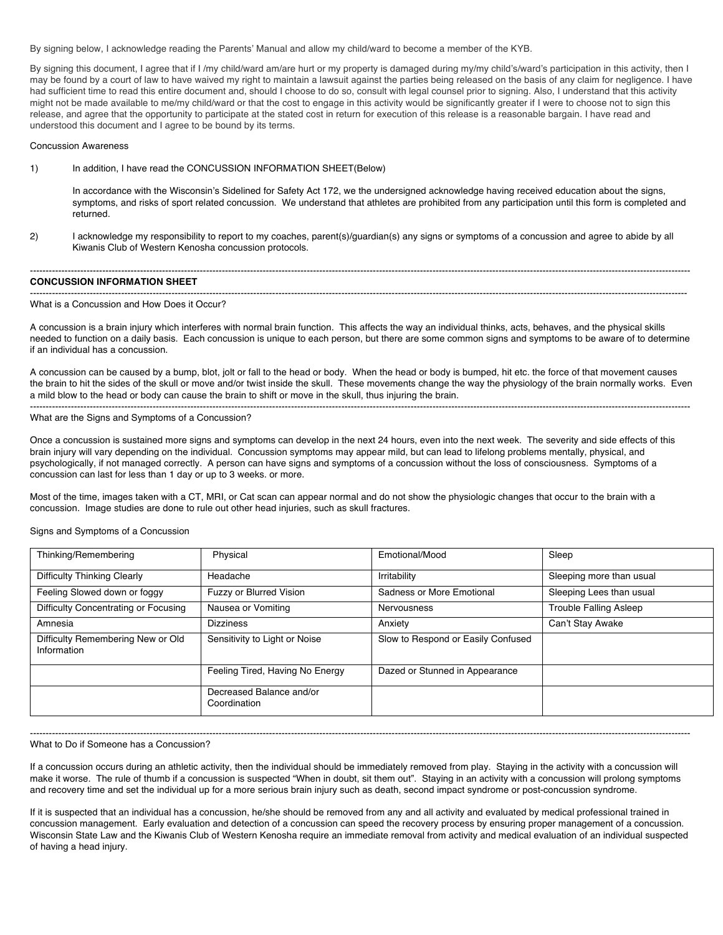By signing below, I acknowledge reading the Parents' Manual and allow my child/ward to become a member of the KYB.

By signing this document, I agree that if I /my child/ward am/are hurt or my property is damaged during my/my child's/ward's participation in this activity, then I may be found by a court of law to have waived my right to maintain a lawsuit against the parties being released on the basis of any claim for negligence. I have had sufficient time to read this entire document and, should I choose to do so, consult with legal counsel prior to signing. Also, I understand that this activity might not be made available to me/my child/ward or that the cost to engage in this activity would be significantly greater if I were to choose not to sign this release, and agree that the opportunity to participate at the stated cost in return for execution of this release is a reasonable bargain. I have read and understood this document and I agree to be bound by its terms.

#### Concussion Awareness

1) In addition, I have read the CONCUSSION INFORMATION SHEET(Below)

In accordance with the Wisconsin's Sidelined for Safety Act 172, we the undersigned acknowledge having received education about the signs, symptoms, and risks of sport related concussion. We understand that athletes are prohibited from any participation until this form is completed and returned.

------------------------------------------------------------------------------------------------------------------------------------------------------------------------------------------------------------------

2) I acknowledge my responsibility to report to my coaches, parent(s)/guardian(s) any signs or symptoms of a concussion and agree to abide by all Kiwanis Club of Western Kenosha concussion protocols.

-----------------------------------------------------------------------------------------------------------------------------------------------------------------------------------------------------------------

#### **CONCUSSION INFORMATION SHEET**

# What is a Concussion and How Does it Occur?

A concussion is a brain injury which interferes with normal brain function. This affects the way an individual thinks, acts, behaves, and the physical skills needed to function on a daily basis. Each concussion is unique to each person, but there are some common signs and symptoms to be aware of to determine if an individual has a concussion.

A concussion can be caused by a bump, blot, jolt or fall to the head or body. When the head or body is bumped, hit etc. the force of that movement causes the brain to hit the sides of the skull or move and/or twist inside the skull. These movements change the way the physiology of the brain normally works. Even a mild blow to the head or body can cause the brain to shift or move in the skull, thus injuring the brain. ------------------------------------------------------------------------------------------------------------------------------------------------------------------------------------------------------------------

#### What are the Signs and Symptoms of a Concussion?

Once a concussion is sustained more signs and symptoms can develop in the next 24 hours, even into the next week. The severity and side effects of this brain injury will vary depending on the individual. Concussion symptoms may appear mild, but can lead to lifelong problems mentally, physical, and psychologically, if not managed correctly. A person can have signs and symptoms of a concussion without the loss of consciousness. Symptoms of a concussion can last for less than 1 day or up to 3 weeks. or more.

Most of the time, images taken with a CT, MRI, or Cat scan can appear normal and do not show the physiologic changes that occur to the brain with a concussion. Image studies are done to rule out other head injuries, such as skull fractures.

#### Signs and Symptoms of a Concussion

| Thinking/Remembering                             | Physical                                 | Emotional/Mood                     | Sleep                         |
|--------------------------------------------------|------------------------------------------|------------------------------------|-------------------------------|
| Difficulty Thinking Clearly                      | Headache                                 | Irritability                       | Sleeping more than usual      |
| Feeling Slowed down or foggy                     | Fuzzy or Blurred Vision                  | Sadness or More Emotional          | Sleeping Lees than usual      |
| Difficulty Concentrating or Focusing             | Nausea or Vomiting                       | Nervousness                        | <b>Trouble Falling Asleep</b> |
| Amnesia                                          | <b>Dizziness</b>                         | Anxiety                            | Can't Stay Awake              |
| Difficulty Remembering New or Old<br>Information | Sensitivity to Light or Noise            | Slow to Respond or Easily Confused |                               |
|                                                  | Feeling Tired, Having No Energy          | Dazed or Stunned in Appearance     |                               |
|                                                  | Decreased Balance and/or<br>Coordination |                                    |                               |

#### ------------------------------------------------------------------------------------------------------------------------------------------------------------------------------------------------------------------ What to Do if Someone has a Concussion?

If a concussion occurs during an athletic activity, then the individual should be immediately removed from play. Staying in the activity with a concussion will make it worse. The rule of thumb if a concussion is suspected "When in doubt, sit them out". Staying in an activity with a concussion will prolong symptoms and recovery time and set the individual up for a more serious brain injury such as death, second impact syndrome or post-concussion syndrome.

If it is suspected that an individual has a concussion, he/she should be removed from any and all activity and evaluated by medical professional trained in concussion management. Early evaluation and detection of a concussion can speed the recovery process by ensuring proper management of a concussion. Wisconsin State Law and the Kiwanis Club of Western Kenosha require an immediate removal from activity and medical evaluation of an individual suspected of having a head injury.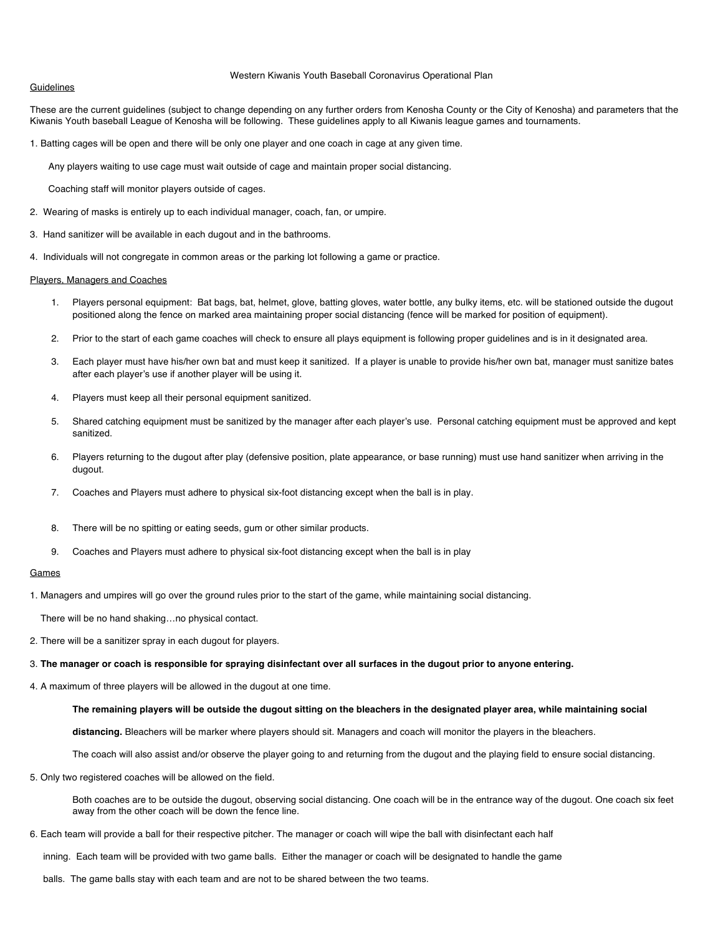#### **Guidelines**

#### Western Kiwanis Youth Baseball Coronavirus Operational Plan

These are the current guidelines (subject to change depending on any further orders from Kenosha County or the City of Kenosha) and parameters that the Kiwanis Youth baseball League of Kenosha will be following. These guidelines apply to all Kiwanis league games and tournaments.

1. Batting cages will be open and there will be only one player and one coach in cage at any given time.

Any players waiting to use cage must wait outside of cage and maintain proper social distancing.

Coaching staff will monitor players outside of cages.

- 2. Wearing of masks is entirely up to each individual manager, coach, fan, or umpire.
- 3. Hand sanitizer will be available in each dugout and in the bathrooms.
- 4. Individuals will not congregate in common areas or the parking lot following a game or practice.

#### Players, Managers and Coaches

- 1. Players personal equipment: Bat bags, bat, helmet, glove, batting gloves, water bottle, any bulky items, etc. will be stationed outside the dugout positioned along the fence on marked area maintaining proper social distancing (fence will be marked for position of equipment).
- 2. Prior to the start of each game coaches will check to ensure all plays equipment is following proper guidelines and is in it designated area.
- 3. Each player must have his/her own bat and must keep it sanitized. If a player is unable to provide his/her own bat, manager must sanitize bates after each player's use if another player will be using it.
- 4. Players must keep all their personal equipment sanitized.
- 5. Shared catching equipment must be sanitized by the manager after each player's use. Personal catching equipment must be approved and kept sanitized.
- 6. Players returning to the dugout after play (defensive position, plate appearance, or base running) must use hand sanitizer when arriving in the dugout.
- 7. Coaches and Players must adhere to physical six-foot distancing except when the ball is in play.
- 8. There will be no spitting or eating seeds, gum or other similar products.
- 9. Coaches and Players must adhere to physical six-foot distancing except when the ball is in play

### **Games**

1. Managers and umpires will go over the ground rules prior to the start of the game, while maintaining social distancing.

There will be no hand shaking…no physical contact.

- 2. There will be a sanitizer spray in each dugout for players.
- 3. **The manager or coach is responsible for spraying disinfectant over all surfaces in the dugout prior to anyone entering.**

4. A maximum of three players will be allowed in the dugout at one time.

#### **The remaining players will be outside the dugout sitting on the bleachers in the designated player area, while maintaining social**

**distancing.** Bleachers will be marker where players should sit. Managers and coach will monitor the players in the bleachers.

The coach will also assist and/or observe the player going to and returning from the dugout and the playing field to ensure social distancing.

5. Only two registered coaches will be allowed on the field.

Both coaches are to be outside the dugout, observing social distancing. One coach will be in the entrance way of the dugout. One coach six feet away from the other coach will be down the fence line.

6. Each team will provide a ball for their respective pitcher. The manager or coach will wipe the ball with disinfectant each half

inning. Each team will be provided with two game balls. Either the manager or coach will be designated to handle the game

balls. The game balls stay with each team and are not to be shared between the two teams.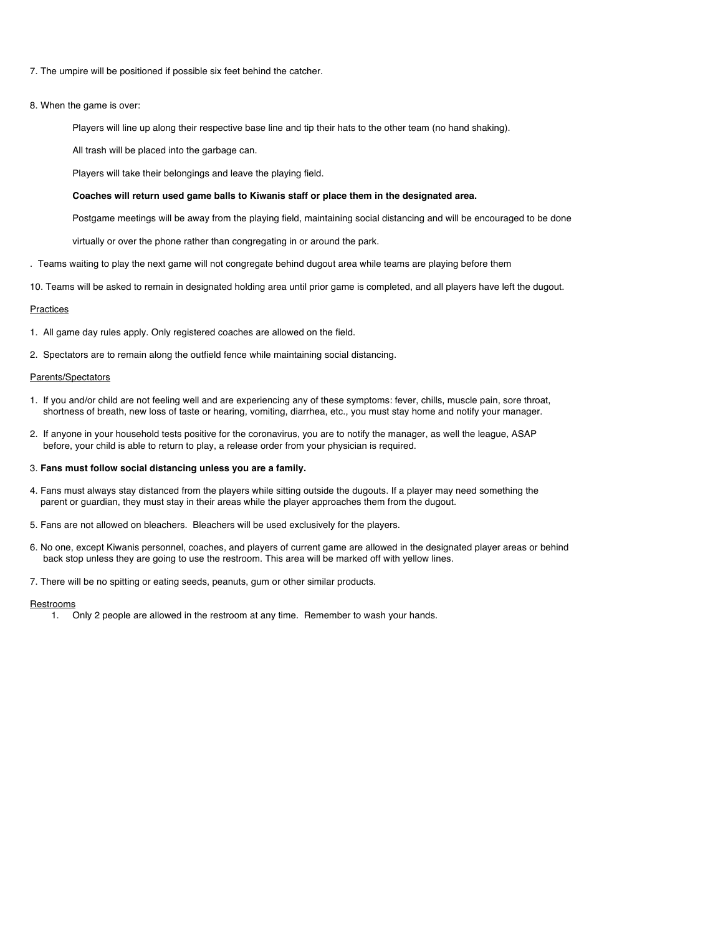- 7. The umpire will be positioned if possible six feet behind the catcher.
- 8. When the game is over:
	- Players will line up along their respective base line and tip their hats to the other team (no hand shaking).
	- All trash will be placed into the garbage can.
	- Players will take their belongings and leave the playing field.

#### **Coaches will return used game balls to Kiwanis staff or place them in the designated area.**

- Postgame meetings will be away from the playing field, maintaining social distancing and will be encouraged to be done
- virtually or over the phone rather than congregating in or around the park.
- . Teams waiting to play the next game will not congregate behind dugout area while teams are playing before them
- 10. Teams will be asked to remain in designated holding area until prior game is completed, and all players have left the dugout.

#### Practices

- 1. All game day rules apply. Only registered coaches are allowed on the field.
- 2. Spectators are to remain along the outfield fence while maintaining social distancing.

# Parents/Spectators

- 1. If you and/or child are not feeling well and are experiencing any of these symptoms: fever, chills, muscle pain, sore throat, shortness of breath, new loss of taste or hearing, vomiting, diarrhea, etc., you must stay home and notify your manager.
- 2. If anyone in your household tests positive for the coronavirus, you are to notify the manager, as well the league, ASAP before, your child is able to return to play, a release order from your physician is required.

## 3. **Fans must follow social distancing unless you are a family.**

- 4. Fans must always stay distanced from the players while sitting outside the dugouts. If a player may need something the parent or guardian, they must stay in their areas while the player approaches them from the dugout.
- 5. Fans are not allowed on bleachers. Bleachers will be used exclusively for the players.
- 6. No one, except Kiwanis personnel, coaches, and players of current game are allowed in the designated player areas or behind back stop unless they are going to use the restroom. This area will be marked off with yellow lines.
- 7. There will be no spitting or eating seeds, peanuts, gum or other similar products.

#### **Restrooms**

1. Only 2 people are allowed in the restroom at any time. Remember to wash your hands.